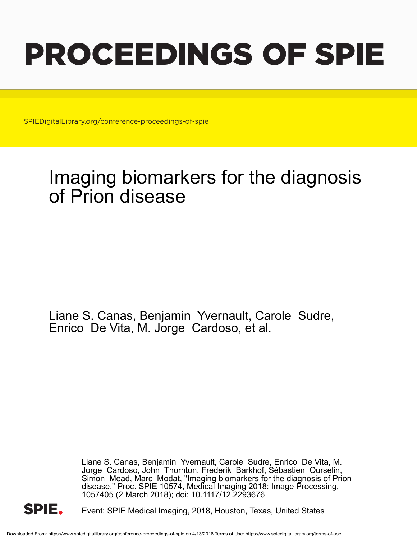# PROCEEDINGS OF SPIE

SPIEDigitalLibrary.org/conference-proceedings-of-spie

## Imaging biomarkers for the diagnosis of Prion disease

Liane S. Canas, Benjamin Yvernault, Carole Sudre, Enrico De Vita, M. Jorge Cardoso, et al.

> Liane S. Canas, Benjamin Yvernault, Carole Sudre, Enrico De Vita, M. Jorge Cardoso, John Thornton, Frederik Barkhof, Sébastien Ourselin, Simon Mead, Marc Modat, "Imaging biomarkers for the diagnosis of Prion disease," Proc. SPIE 10574, Medical Imaging 2018: Image Processing, 1057405 (2 March 2018); doi: 10.1117/12.2293676



Event: SPIE Medical Imaging, 2018, Houston, Texas, United States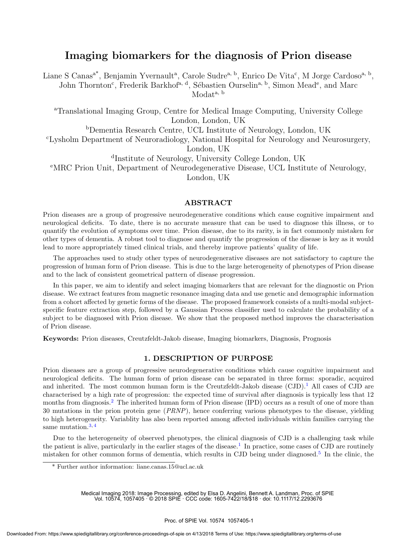### Imaging biomarkers for the diagnosis of Prion disease

Liane S Canas<sup>a\*</sup>, Benjamin Yvernault<sup>a</sup>, Carole Sudre<sup>a, b</sup>, Enrico De Vita<sup>c</sup>, M Jorge Cardoso<sup>a, b</sup>, John Thornton<sup>c</sup>, Frederik Barkhof<sup>a, d</sup>, Sébastien Ourselin<sup>a, b</sup>, Simon Mead<sup>e</sup>, and Marc Modata, b

<sup>a</sup>Translational Imaging Group, Centre for Medical Image Computing, University College London, London, UK

<sup>b</sup>Dementia Research Centre, UCL Institute of Neurology, London, UK <sup>c</sup>Lysholm Department of Neuroradiology, National Hospital for Neurology and Neurosurgery, London, UK

d Institute of Neurology, University College London, UK <sup>e</sup>MRC Prion Unit, Department of Neurodegenerative Disease, UCL Institute of Neurology, London, UK

#### ABSTRACT

Prion diseases are a group of progressive neurodegenerative conditions which cause cognitive impairment and neurological deficits. To date, there is no accurate measure that can be used to diagnose this illness, or to quantify the evolution of symptoms over time. Prion disease, due to its rarity, is in fact commonly mistaken for other types of dementia. A robust tool to diagnose and quantify the progression of the disease is key as it would lead to more appropriately timed clinical trials, and thereby improve patients' quality of life.

The approaches used to study other types of neurodegenerative diseases are not satisfactory to capture the progression of human form of Prion disease. This is due to the large heterogeneity of phenotypes of Prion disease and to the lack of consistent geometrical pattern of disease progression.

In this paper, we aim to identify and select imaging biomarkers that are relevant for the diagnostic on Prion disease. We extract features from magnetic resonance imaging data and use genetic and demographic information from a cohort affected by genetic forms of the disease. The proposed framework consists of a multi-modal subjectspecific feature extraction step, followed by a Gaussian Process classifier used to calculate the probability of a subject to be diagnosed with Prion disease. We show that the proposed method improves the characterisation of Prion disease.

Keywords: Prion diseases, Creutzfeldt-Jakob disease, Imaging biomarkers, Diagnosis, Prognosis

#### 1. DESCRIPTION OF PURPOSE

Prion diseases are a group of progressive neurodegenerative conditions which cause cognitive impairment and neurological deficits. The human form of prion disease can be separated in three forms: sporadic, acquired and inherited. The most common human form is the Creutzfeldt-Jakob disease  $(CJD)$ .<sup>1</sup> All cases of CJD are characterised by a high rate of progression: the expected time of survival after diagnosis is typically less that 12 months from diagnosis.<sup>2</sup> The inherited human form of Prion disease (IPD) occurs as a result of one of more than 30 mutations in the prion protein gene (PRNP), hence conferring various phenotypes to the disease, yielding to high heterogeneity. Variablity has also been reported among affected individuals within families carrying the same mutation.<sup>3,4</sup>

Due to the heterogeneity of observed phenotypes, the clinical diagnosis of CJD is a challenging task while the patient is alive, particularly in the earlier stages of the disease.<sup>1</sup> In practice, some cases of CJD are routinely mistaken for other common forms of dementia, which results in CJD being under diagnosed.<sup>5</sup> In the clinic, the

Medical Imaging 2018: Image Processing, edited by Elsa D. Angelini, Bennett A. Landman, Proc. of SPIE Vol. 10574, 1057405 · © 2018 SPIE · CCC code: 1605-7422/18/\$18 · doi: 10.1117/12.2293676

<sup>\*</sup> Further author information: liane.canas.15@ucl.ac.uk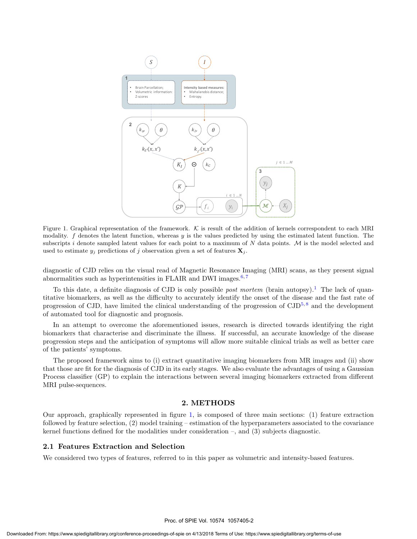

Figure 1. Graphical representation of the framework. K is result of the addition of kernels correspondent to each MRI modality.  $f$  denotes the latent function, whereas  $y$  is the values predicted by using the estimated latent function. The subscripts  $i$  denote sampled latent values for each point to a maximum of  $N$  data points.  $M$  is the model selected and used to estimate  $y_i$  predictions of j observation given a set of features  $\mathbf{X}_i$ .

diagnostic of CJD relies on the visual read of Magnetic Resonance Imaging (MRI) scans, as they present signal abnormalities such as hyperintensities in FLAIR and DWI images. $6,7$ 

To this date, a definite diagnosis of CJD is only possible *post mortem* (brain autopsy).<sup>1</sup> The lack of quantitative biomarkers, as well as the difficulty to accurately identify the onset of the disease and the fast rate of progression of CJD, have limited the clinical understanding of the progression of CJD<sup>5,8</sup> and the development of automated tool for diagnostic and prognosis.

In an attempt to overcome the aforementioned issues, research is directed towards identifying the right biomarkers that characterise and discriminate the illness. If successful, an accurate knowledge of the disease progression steps and the anticipation of symptoms will allow more suitable clinical trials as well as better care of the patients' symptoms.

The proposed framework aims to (i) extract quantitative imaging biomarkers from MR images and (ii) show that those are fit for the diagnosis of CJD in its early stages. We also evaluate the advantages of using a Gaussian Process classifier (GP) to explain the interactions between several imaging biomarkers extracted from different MRI pulse-sequences.

#### 2. METHODS

Our approach, graphically represented in figure 1, is composed of three main sections: (1) feature extraction followed by feature selection, (2) model training – estimation of the hyperparameters associated to the covariance kernel functions defined for the modalities under consideration –, and (3) subjects diagnostic.

#### 2.1 Features Extraction and Selection

We considered two types of features, referred to in this paper as volumetric and intensity-based features.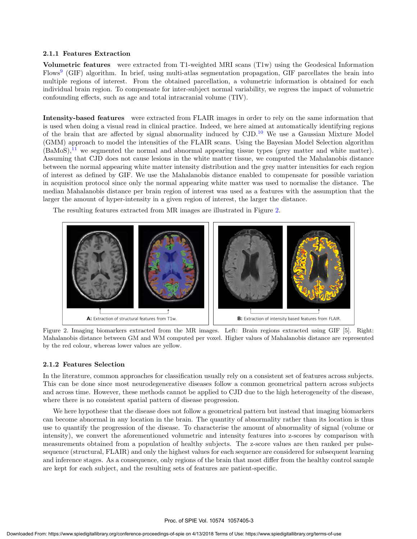#### 2.1.1 Features Extraction

Volumetric features were extracted from T1-weighted MRI scans (T1w) using the Geodesical Information Flows<sup>9</sup> (GIF) algorithm. In brief, using multi-atlas segmentation propagation, GIF parcellates the brain into multiple regions of interest. From the obtained parcellation, a volumetric information is obtained for each individual brain region. To compensate for inter-subject normal variability, we regress the impact of volumetric confounding effects, such as age and total intracranial volume (TIV).

Intensity-based features were extracted from FLAIR images in order to rely on the same information that is used when doing a visual read in clinical practice. Indeed, we here aimed at automatically identifying regions of the brain that are affected by signal abnormality induced by  $\text{CJD}$ .<sup>10</sup> We use a Gaussian Mixture Model (GMM) approach to model the intensities of the FLAIR scans. Using the Bayesian Model Selection algorithm  $(BaMoS),<sup>11</sup>$  we segmented the normal and abnormal appearing tissue types (grey matter and white matter). Assuming that CJD does not cause lesions in the white matter tissue, we computed the Mahalanobis distance between the normal appearing white matter intensity distribution and the grey matter intensities for each region of interest as defined by GIF. We use the Mahalanobis distance enabled to compensate for possible variation in acquisition protocol since only the normal appearing white matter was used to normalise the distance. The median Mahalanobis distance per brain region of interest was used as a features with the assumption that the larger the amount of hyper-intensity in a given region of interest, the larger the distance.

The resulting features extracted from MR images are illustrated in Figure 2.



Figure 2. Imaging biomarkers extracted from the MR images. Left: Brain regions extracted using GIF [5]. Right: Mahalanobis distance between GM and WM computed per voxel. Higher values of Mahalanobis distance are represented by the red colour, whereas lower values are yellow.

#### 2.1.2 Features Selection

In the literature, common approaches for classification usually rely on a consistent set of features across subjects. This can be done since most neurodegenerative diseases follow a common geometrical pattern across subjects and across time. However, these methods cannot be applied to CJD due to the high heterogeneity of the disease, where there is no consistent spatial pattern of disease progression.

We here hypothese that the disease does not follow a geometrical pattern but instead that imaging biomarkers can become abnormal in any location in the brain. The quantity of abnormality rather than its location is thus use to quantify the progression of the disease. To characterise the amount of abnormality of signal (volume or intensity), we convert the aforementioned volumetric and intensity features into z-scores by comparison with measurements obtained from a population of healthy subjects. The z-score values are then ranked per pulsesequence (structural, FLAIR) and only the highest values for each sequence are considered for subsequent learning and inference stages. As a consequence, only regions of the brain that most differ from the healthy control sample are kept for each subject, and the resulting sets of features are patient-specific.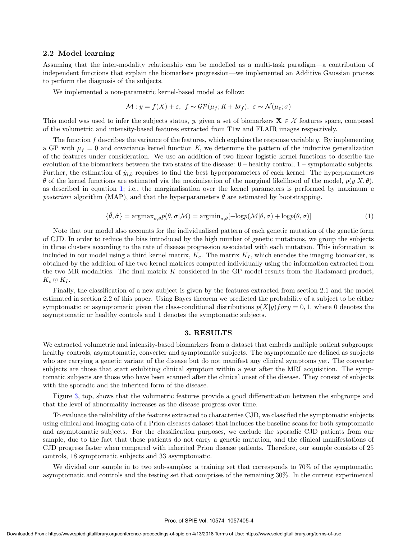#### 2.2 Model learning

Assuming that the inter-modality relationship can be modelled as a multi-task paradigm—a contribution of independent functions that explain the biomarkers progression—we implemented an Additive Gaussian process to perform the diagnosis of the subjects.

We implemented a non-parametric kernel-based model as follow:

$$
\mathcal{M}: y = f(X) + \varepsilon, \ f \sim \mathcal{GP}(\mu_f; K + I\sigma_f), \ \varepsilon \sim \mathcal{N}(\mu_{\varepsilon}; \sigma)
$$

This model was used to infer the subjects status, y, given a set of biomarkers  $\mathbf{X} \in \mathcal{X}$  features space, composed of the volumetric and intensity-based features extracted from T1w and FLAIR images respectively.

The function  $f$  describes the variance of the features, which explains the response variable  $y$ . By implementing a GP with  $\mu_f = 0$  and covariance kernel function K, we determine the pattern of the inductive generalization of the features under consideration. We use an addition of two linear logistic kernel functions to describe the evolution of the biomarkers between the two states of the disease: 0 – healthy control, 1 – symptomatic subjects. Further, the estimation of  $\hat{y}_{i,b}$  requires to find the best hyperparameters of each kernel. The hyperparameters θ of the kernel functions are estimated via the maximisation of the marginal likelihood of the model,  $p(y|X, θ)$ , as described in equation 1; i.e., the marginalisation over the kernel parameters is performed by maximum  $\alpha$ posteriori algorithm (MAP), and that the hyperparameters  $\theta$  are estimated by bootstrapping.

$$
\{\hat{\theta}, \hat{\sigma}\} = \operatorname{argmax}_{\sigma, \theta} p(\theta, \sigma | \mathcal{M}) = \operatorname{argmin}_{\sigma, \theta} [-\log p(\mathcal{M} | \theta, \sigma) + \log p(\theta, \sigma)] \tag{1}
$$

Note that our model also accounts for the individualised pattern of each genetic mutation of the genetic form of CJD. In order to reduce the bias introduced by the high number of genetic mutations, we group the subjects in three clusters according to the rate of disease progression associated with each mutation. This information is included in our model using a third kernel matrix,  $K_c$ . The matrix  $K_I$ , which encodes the imaging biomarker, is obtained by the addition of the two kernel matrices computed individually using the information extracted from the two MR modalities. The final matrix  $K$  considered in the GP model results from the Hadamard product,  $K_c \odot K_I$ .

Finally, the classification of a new subject is given by the features extracted from section 2.1 and the model estimated in section 2.2 of this paper. Using Bayes theorem we predicted the probability of a subject to be either symptomatic or asymptomatic given the class-conditional distributions  $p(X|y)$  for  $y = 0, 1$ , where 0 denotes the asymptomatic or healthy controls and 1 denotes the symptomatic subjects.

#### 3. RESULTS

We extracted volumetric and intensity-based biomarkers from a dataset that embeds multiple patient subgroups: healthy controls, asymptomatic, converter and symptomatic subjects. The asymptomatic are defined as subjects who are carrying a genetic variant of the disease but do not manifest any clinical symptoms yet. The converter subjects are those that start exhibiting clinical symptom within a year after the MRI acquisition. The symptomatic subjects are those who have been scanned after the clinical onset of the disease. They consist of subjects with the sporadic and the inherited form of the disease.

Figure 3, top, shows that the volumetric features provide a good differentiation between the subgroups and that the level of abnormality increases as the disease progress over time.

To evaluate the reliability of the features extracted to characterise CJD, we classified the symptomatic subjects using clinical and imaging data of a Prion diseases dataset that includes the baseline scans for both symptomatic and asymptomatic subjects. For the classification purposes, we exclude the sporadic CJD patients from our sample, due to the fact that these patients do not carry a genetic mutation, and the clinical manifestations of CJD progress faster when compared with inherited Prion disease patients. Therefore, our sample consists of 25 controls, 18 symptomatic subjects and 33 asymptomatic.

We divided our sample in to two sub-samples: a training set that corresponds to 70% of the symptomatic, asymptomatic and controls and the testing set that comprises of the remaining 30%. In the current experimental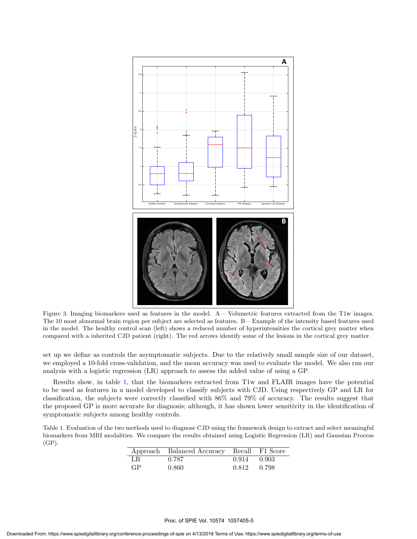

Figure 3. Imaging biomarkers used as features in the model.  $A -$ Volumetric features extracted from the T1w images. The 10 most abnormal brain region per subject are selected as features. B – Example of the intensity based features used in the model. The healthy control scan (left) shows a reduced number of hyperintensities the cortical grey matter when compared with a inherited CJD patient (right). The red arrows identify some of the lesions in the cortical grey matter.

set up we define as controls the asymptomatic subjects. Due to the relatively small sample size of our dataset, we employed a 10-fold cross-validation, and the mean accuracy was used to evaluate the model. We also ran our analysis with a logistic regression (LR) approach to assess the added value of using a GP.

Results show, in table 1, that the biomarkers extracted from T1w and FLAIR images have the potential to be used as features in a model developed to classify subjects with CJD. Using respectively GP and LR for classification, the subjects were correctly classified with 86% and 79% of accuracy. The results suggest that the proposed GP is more accurate for diagnosis; although, it has shown lower sensitivity in the identification of symptomatic subjects among healthy controls.

Table 1. Evaluation of the two methods used to diagnose CJD using the framework design to extract and select meaningful biomarkers from MRI modalities. We compare the results obtained using Logistic Regression (LR) and Gaussian Process (GP).

|     | Approach Balanced Accuracy Recall F1 Score |             |  |
|-----|--------------------------------------------|-------------|--|
| LR. | 0.787                                      | 0.914 0.903 |  |
| GP. | 0.860                                      | 0.812 0.798 |  |